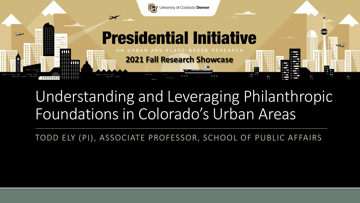

#### Understanding and Leveraging Philanthropic Foundations in Colorado's Urban Areas

TODD ELY (PI), ASSOCIATE PROFESSOR, SCHOOL OF PUBLIC AFFAIRS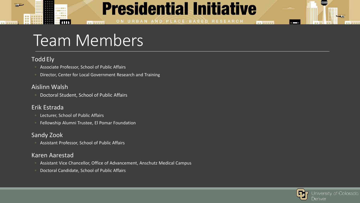#### **Presidential Initiative**

ON URBAN AND PLACE-BASED RESEARCH

### Team Members

**BE SHEER** 

#### Todd Ely

سور

**## 田野田田** 

能量 首目

- Associate Professor, School of Public Affairs
- Director, Center for Local Government Research and Training

#### Aislinn Walsh

◦ Doctoral Student, School of Public Affairs

#### Erik Estrada

Lecturer, School of Public Affairs

 $100.0021122.1$ 

◦ Fellowship Alumni Trustee, El Pomar Foundation

#### Sandy Zook

◦ Assistant Professor, School of Public Affairs

#### Karen Aarestad

- Assistant Vice Chancellor, Office of Advancement, Anschutz Medical Campus
- Doctoral Candidate, School of Public Affairs



un ununu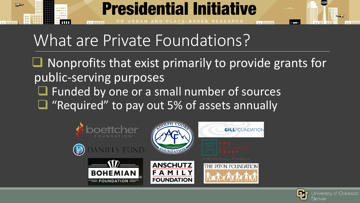

### What are Private Foundations?

 $\Box$  Nonprofits that exist primarily to provide grants for public-serving purposes

- **The Funded by one or a small number of sources**
- $\Box$  "Required" to pay out 5% of assets annually



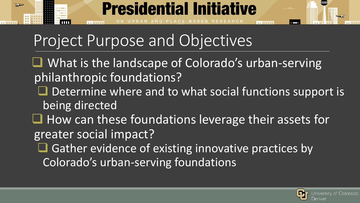

## Project Purpose and Objectives

- $\Box$  What is the landscape of Colorado's urban-serving philanthropic foundations?
	- $\Box$  Determine where and to what social functions support is being directed
- $\Box$  How can these foundations leverage their assets for greater social impact?
	- **Q** Gather evidence of existing innovative practices by Colorado's urban-serving foundations

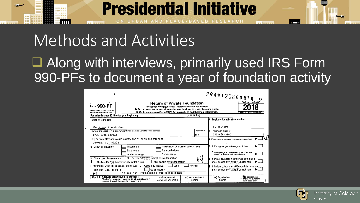

CE-BASED RESEARCH

up lineans

### Methods and Activities

**BE MEED** 

#### ■ Along with interviews, primarily used IRS Form 990-PFs to document a year of foundation activity

| Form 990-PF<br>Oepartment of the Treasury<br>Internal Revenue Service                                                                                                                                                    | 2949120800318<br>OMB No 1545-0052<br><b>Return of Private Foundation</b><br>or Section 4947(a)(1) Trust Treated as Private Foundation<br>Do not enter social security numbers on this form as it may be made public.<br>Go to www.irs.gov/Form990PF for instructions and the latest information.<br>Open to Public Inspection |                                |                                                                                             |                                                                                    |  |  |
|--------------------------------------------------------------------------------------------------------------------------------------------------------------------------------------------------------------------------|-------------------------------------------------------------------------------------------------------------------------------------------------------------------------------------------------------------------------------------------------------------------------------------------------------------------------------|--------------------------------|---------------------------------------------------------------------------------------------|------------------------------------------------------------------------------------|--|--|
| For calendar year 2018 or tax year beginning                                                                                                                                                                             | , and ending                                                                                                                                                                                                                                                                                                                  |                                |                                                                                             |                                                                                    |  |  |
| Name of foundation<br>The Piton Foundation                                                                                                                                                                               |                                                                                                                                                                                                                                                                                                                               |                                |                                                                                             | Employer identification number<br>81-0587194                                       |  |  |
| Room/suite<br>Number and street (or P O box number if mail is not delivered to street address)                                                                                                                           |                                                                                                                                                                                                                                                                                                                               |                                | <b>B</b> Telephone number                                                                   |                                                                                    |  |  |
| 200<br>1705 17th Street                                                                                                                                                                                                  |                                                                                                                                                                                                                                                                                                                               |                                | $303 - 628 - 3800$                                                                          |                                                                                    |  |  |
| City or town, state or province, country, and ZIP or foreign postal code<br>Denver, CO 80202                                                                                                                             |                                                                                                                                                                                                                                                                                                                               |                                | C If exemption application is pending, check here                                           |                                                                                    |  |  |
| Initial return<br><b>G</b> Check all that apply:                                                                                                                                                                         | Initial return of a former public charity                                                                                                                                                                                                                                                                                     |                                |                                                                                             | D 1 Foreign organizations, check here                                              |  |  |
| Final return<br>Address change                                                                                                                                                                                           | Amended return<br>Name change                                                                                                                                                                                                                                                                                                 |                                |                                                                                             | 2 Foreign organizations meeting the 85% test,<br>check here and attach computation |  |  |
| $\lfloor x \rfloor$ Section 501(c)(3) exempt private foundation<br>H Check type of organization.<br>Other taxable private foundation<br>Section 4947(a)(1) nonexempt charitable trust                                    |                                                                                                                                                                                                                                                                                                                               |                                | E If private foundation status was terminated<br>under section 507(b)(1)(A), check here     |                                                                                    |  |  |
| x<br>Accrual<br>Cash<br>J Accounting method:<br>Fair market value of all assets at end of year<br>Other (specify)<br>(from Part II, col. (c), line 16)<br>192 784 039 (Part I, column (d) must be on cash basis.)<br>►\$ |                                                                                                                                                                                                                                                                                                                               |                                | F If the foundation is in a 60-month termination.<br>under section 507(b)(1)(8), check here |                                                                                    |  |  |
| <b>Analysis of Revenue and Expenses</b><br>Part I<br>(The total of amounts in columns (b), (c), and (d) may not<br>necessarily equal the amounts in column (a) )                                                         | (a) Revenue and<br>expenses per books                                                                                                                                                                                                                                                                                         | (b) Net investment<br>, income | (c) Adjusted net<br>income                                                                  | (0) Disbursements<br>for chantable purposes<br>(cash basis only)                   |  |  |

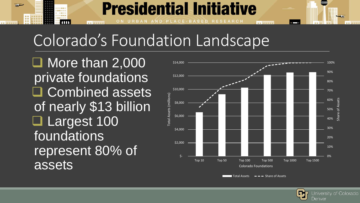# Colorado's Foundation Landscape

**Presidential Initiative** 

PLACE-BASED RESEARCH

 $\Box$  More than 2,000 private foundations **Q** Combined assets of nearly \$13 billion □ Largest 100 foundations represent 80% of assets

**BE SHERR** 



un ununn

Total Assets  $\longrightarrow$  Share of Assets

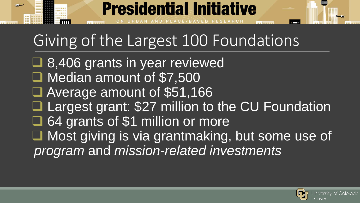# Giving of the Largest 100 Foundations

**Presidential Initiative** 

■ 8,406 grants in year reviewed □ Median amount of \$7,500 Average amount of \$51,166 **Largest grant: \$27 million to the CU Foundation** G4 grants of \$1 million or more ■ Most giving is via grantmaking, but some use of *program* and *mission-related investments*



un ununu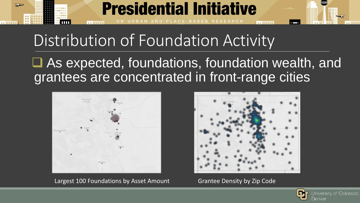

### Distribution of Foundation Activity

 As expected, foundations, foundation wealth, and grantees are concentrated in front-range cities



Largest 100 Foundations by Asset Amount Grantee Density by Zip Code



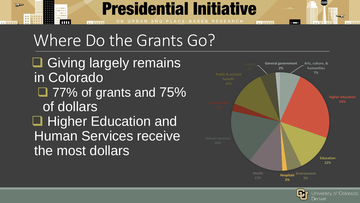#### **Presidential Initiative** AND PLACE-BASED RESEARCH

### Where Do the Grants Go?

**□ Giving largely remains** in Colorado  $\Box$  77% of grants and 75% of dollars □ Higher Education and Human Services receive the most dollars

**BE SHERR** 

**## 通报##** 



un ununu

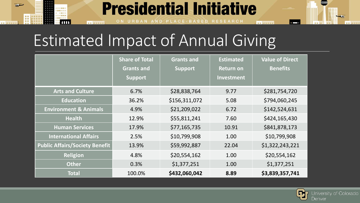## Estimated Impact of Annual Giving

**BE SHERR** 

سی

■ 田 国 野 田 田

**HE** 

|                                       | <b>Share of Total</b><br><b>Grants and</b><br><b>Support</b> | <b>Grants and</b><br><b>Support</b> | <b>Estimated</b><br><b>Return on</b><br><b>Investment</b> | <b>Value of Direct</b><br><b>Benefits</b> |
|---------------------------------------|--------------------------------------------------------------|-------------------------------------|-----------------------------------------------------------|-------------------------------------------|
| <b>Arts and Culture</b>               | 6.7%                                                         | \$28,838,764                        | 9.77                                                      | \$281,754,720                             |
| <b>Education</b>                      | 36.2%                                                        | \$156,311,072                       | 5.08                                                      | \$794,060,245                             |
| <b>Environment &amp; Animals</b>      | 4.9%                                                         | \$21,209,022                        | 6.72                                                      | \$142,524,631                             |
| <b>Health</b>                         | 12.9%                                                        | \$55,811,241                        | 7.60                                                      | \$424,165,430                             |
| <b>Human Services</b>                 | 17.9%                                                        | \$77,165,735                        | 10.91                                                     | \$841,878,173                             |
| <b>International Affairs</b>          | 2.5%                                                         | \$10,799,908                        | 1.00                                                      | \$10,799,908                              |
| <b>Public Affairs/Society Benefit</b> | 13.9%                                                        | \$59,992,887                        | 22.04                                                     | \$1,322,243,221                           |
| <b>Religion</b>                       | 4.8%                                                         | \$20,554,162                        | 1.00                                                      | \$20,554,162                              |
| <b>Other</b>                          | 0.3%                                                         | \$1,377,251                         | 1.00                                                      | \$1,377,251                               |
| <b>Total</b>                          | 100.0%                                                       | \$432,060,042                       | 8.89                                                      | \$3,839,357,741                           |

**Presidential Initiative** 

AND PLACE-BASED RESEARCH

un ununu



 $\overline{\phantom{a}}$